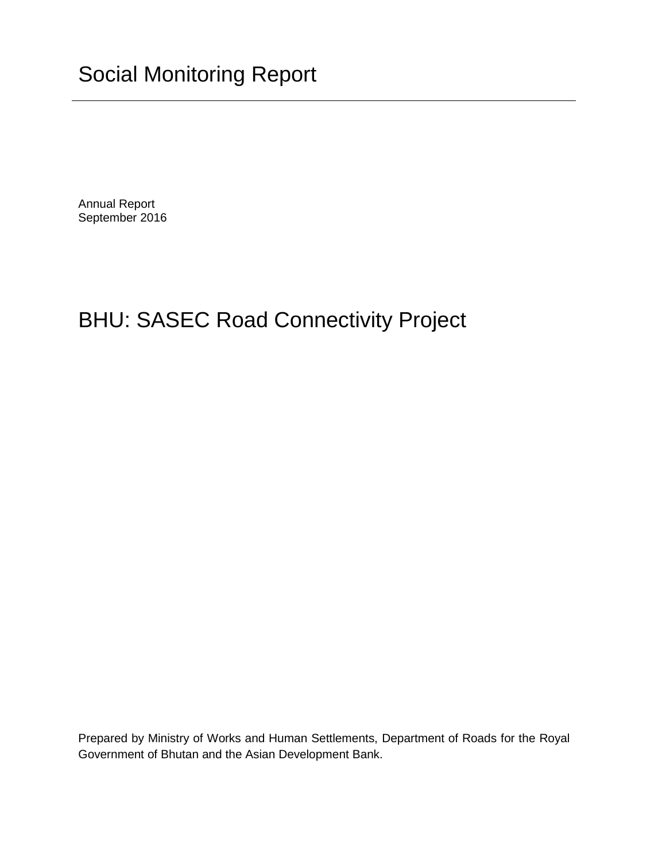Annual Report September 2016

# BHU: SASEC Road Connectivity Project

Prepared by Ministry of Works and Human Settlements, Department of Roads for the Royal Government of Bhutan and the Asian Development Bank.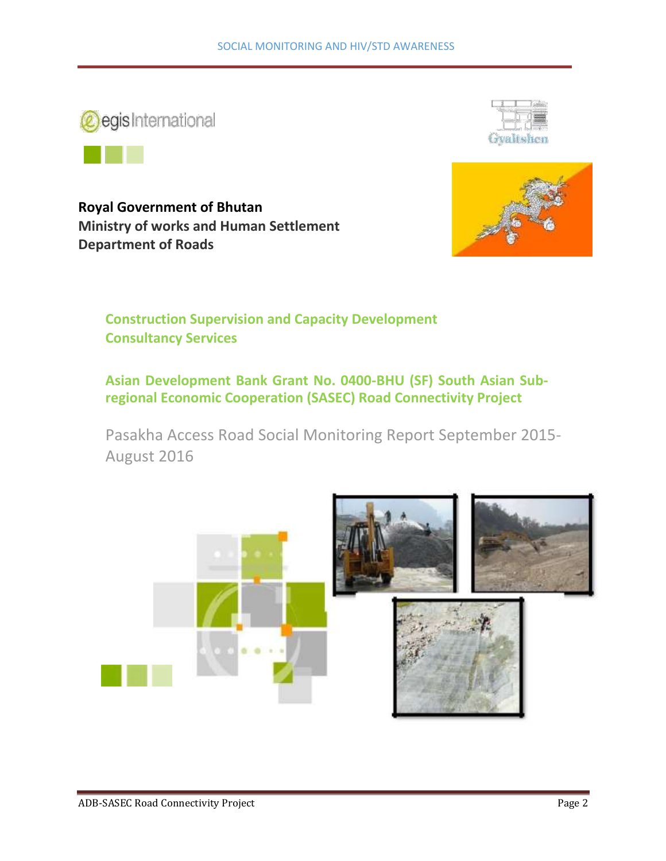



**Royal Government of Bhutan Ministry of works and Human Settlement Department of Roads**





**Construction Supervision and Capacity Development Consultancy Services**

**Asian Development Bank Grant No. 0400-BHU (SF) South Asian Subregional Economic Cooperation (SASEC) Road Connectivity Project**

Pasakha Access Road Social Monitoring Report September 2015- August 2016

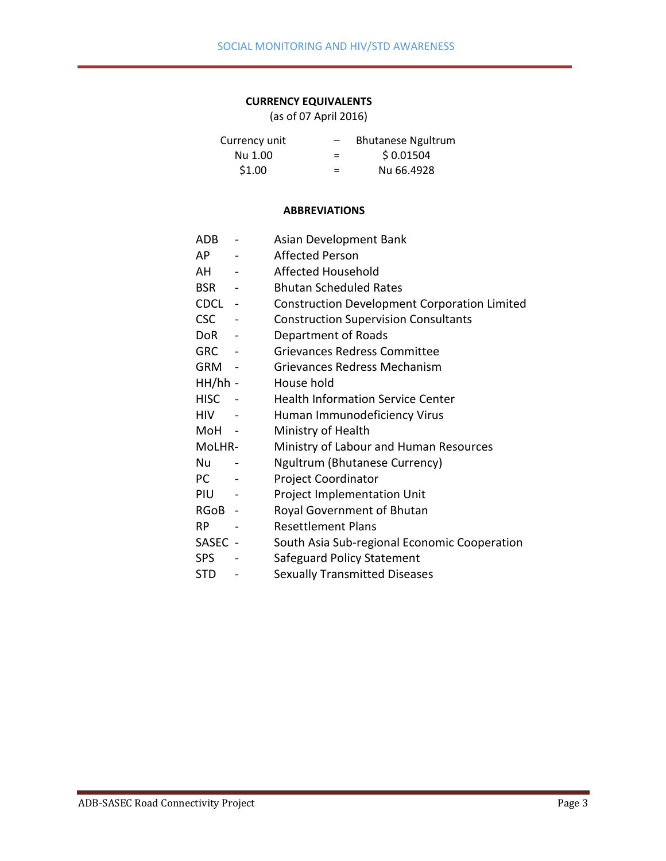#### **CURRENCY EQUIVALENTS**

(as of 07 April 2016)

| Currency unit | $\qquad \qquad$ | <b>Bhutanese Ngultrum</b> |
|---------------|-----------------|---------------------------|
| Nu 1.00       | =               | \$0.01504                 |
| \$1.00        | =               | Nu 66.4928                |

#### **ABBREVIATIONS**

- ADB Asian Development Bank
- AP Affected Person
- AH Affected Household
- BSR Bhutan Scheduled Rates
- CDCL Construction Development Corporation Limited
- CSC Construction Supervision Consultants
- DoR Department of Roads
- GRC Grievances Redress Committee
- GRM Grievances Redress Mechanism
- HH/hh House hold
- HISC Health Information Service Center
- HIV Human Immunodeficiency Virus
- MoH Ministry of Health
- MoLHR- Ministry of Labour and Human Resources
- Nu Ngultrum (Bhutanese Currency)
- PC Project Coordinator
- PIU Project Implementation Unit
- RGoB Royal Government of Bhutan
- RP Resettlement Plans
- SASEC South Asia Sub-regional Economic Cooperation
- SPS Safeguard Policy Statement
- STD Sexually Transmitted Diseases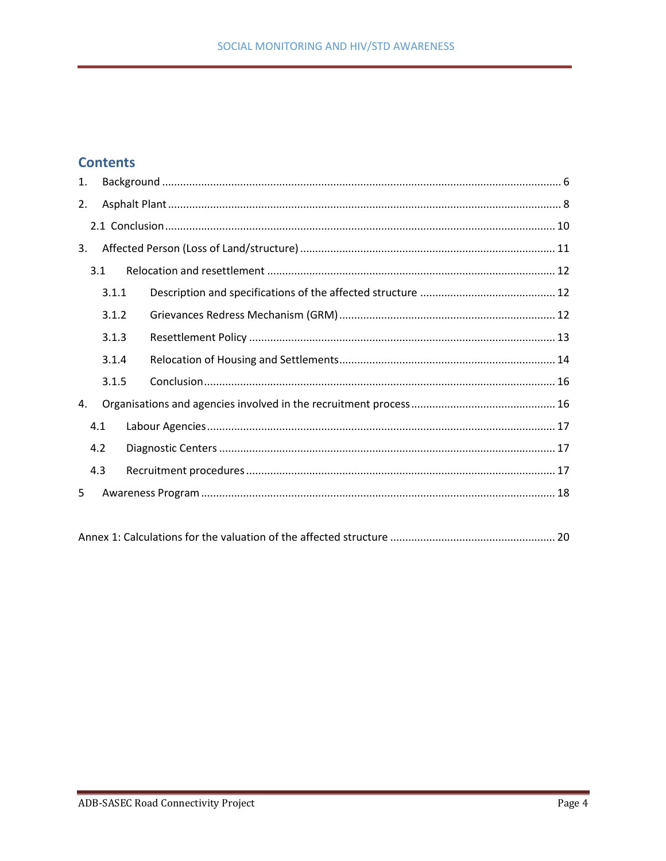# **Contents**

| 1. |       |  |
|----|-------|--|
| 2. |       |  |
|    |       |  |
| 3. |       |  |
|    | 3.1   |  |
|    | 3.1.1 |  |
|    | 3.1.2 |  |
|    | 3.1.3 |  |
|    | 3.1.4 |  |
|    | 3.1.5 |  |
| 4. |       |  |
|    | 4.1   |  |
|    | 4.2   |  |
|    | 4.3   |  |
| 5  |       |  |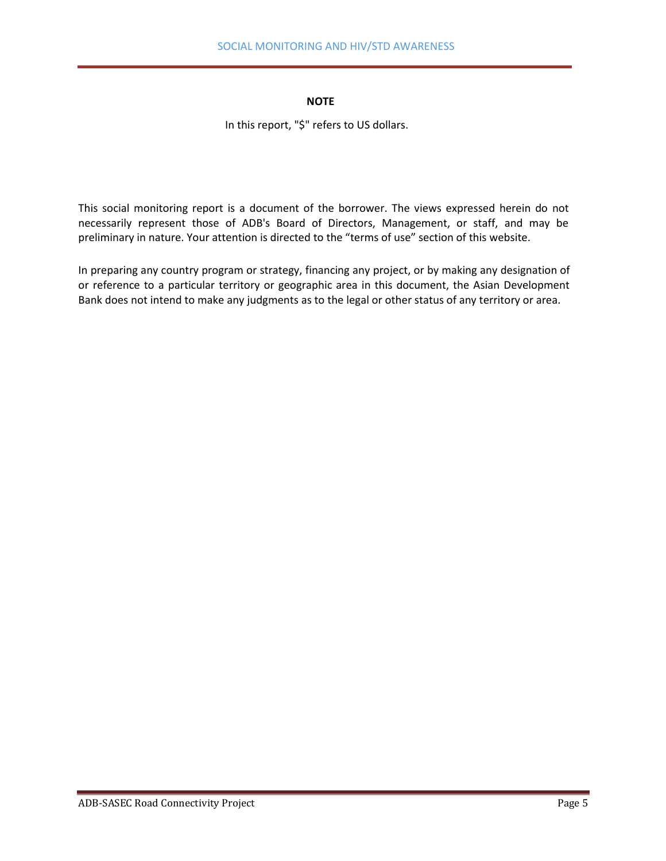#### **NOTE**

In this report, "\$" refers to US dollars.

This social monitoring report is a document of the borrower. The views expressed herein do not necessarily represent those of ADB's Board of Directors, Management, or staff, and may be preliminary in nature. Your attention is directed to the "terms of use" section of this website.

In preparing any country program or strategy, financing any project, or by making any designation of or reference to a particular territory or geographic area in this document, the Asian Development Bank does not intend to make any judgments as to the legal or other status of any territory or area.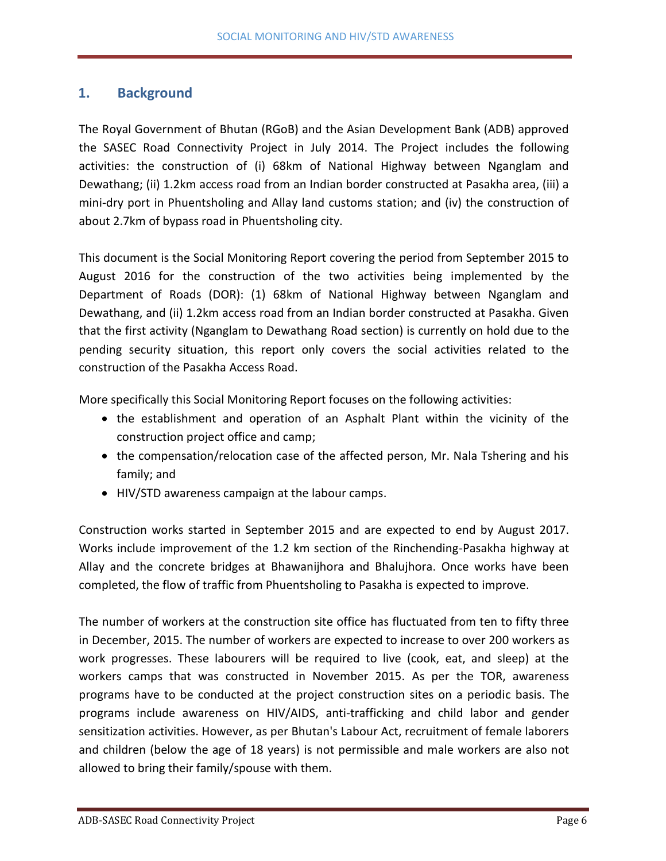# <span id="page-5-0"></span>**1. Background**

The Royal Government of Bhutan (RGoB) and the Asian Development Bank (ADB) approved the SASEC Road Connectivity Project in July 2014. The Project includes the following activities: the construction of (i) 68km of National Highway between Nganglam and Dewathang; (ii) 1.2km access road from an Indian border constructed at Pasakha area, (iii) a mini-dry port in Phuentsholing and Allay land customs station; and (iv) the construction of about 2.7km of bypass road in Phuentsholing city.

This document is the Social Monitoring Report covering the period from September 2015 to August 2016 for the construction of the two activities being implemented by the Department of Roads (DOR): (1) 68km of National Highway between Nganglam and Dewathang, and (ii) 1.2km access road from an Indian border constructed at Pasakha. Given that the first activity (Nganglam to Dewathang Road section) is currently on hold due to the pending security situation, this report only covers the social activities related to the construction of the Pasakha Access Road.

More specifically this Social Monitoring Report focuses on the following activities:

- the establishment and operation of an Asphalt Plant within the vicinity of the construction project office and camp;
- the compensation/relocation case of the affected person, Mr. Nala Tshering and his family; and
- HIV/STD awareness campaign at the labour camps.

Construction works started in September 2015 and are expected to end by August 2017. Works include improvement of the 1.2 km section of the Rinchending-Pasakha highway at Allay and the concrete bridges at Bhawanijhora and Bhalujhora. Once works have been completed, the flow of traffic from Phuentsholing to Pasakha is expected to improve.

The number of workers at the construction site office has fluctuated from ten to fifty three in December, 2015. The number of workers are expected to increase to over 200 workers as work progresses. These labourers will be required to live (cook, eat, and sleep) at the workers camps that was constructed in November 2015. As per the TOR, awareness programs have to be conducted at the project construction sites on a periodic basis. The programs include awareness on HIV/AIDS, anti-trafficking and child labor and gender sensitization activities. However, as per Bhutan's Labour Act, recruitment of female laborers and children (below the age of 18 years) is not permissible and male workers are also not allowed to bring their family/spouse with them.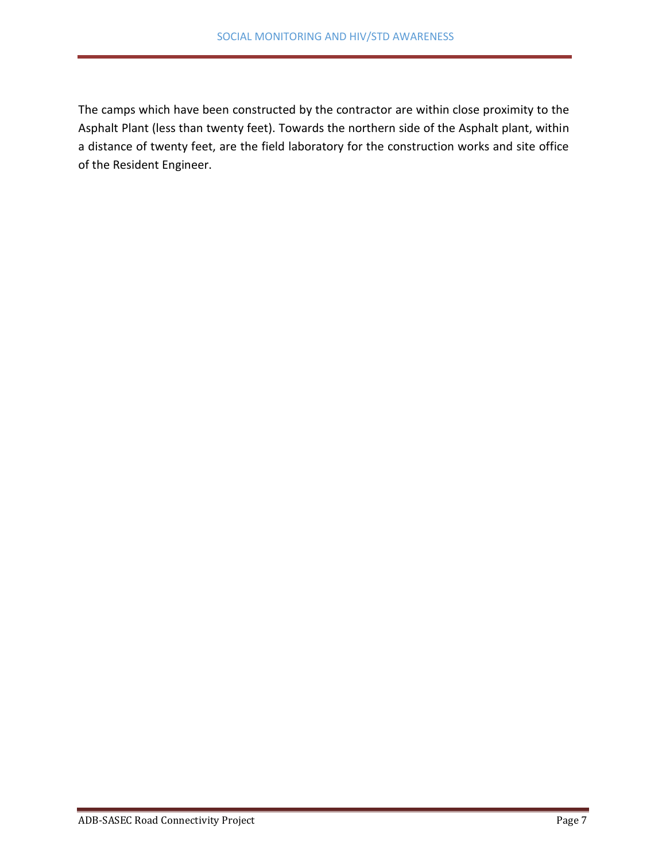The camps which have been constructed by the contractor are within close proximity to the Asphalt Plant (less than twenty feet). Towards the northern side of the Asphalt plant, within a distance of twenty feet, are the field laboratory for the construction works and site office of the Resident Engineer.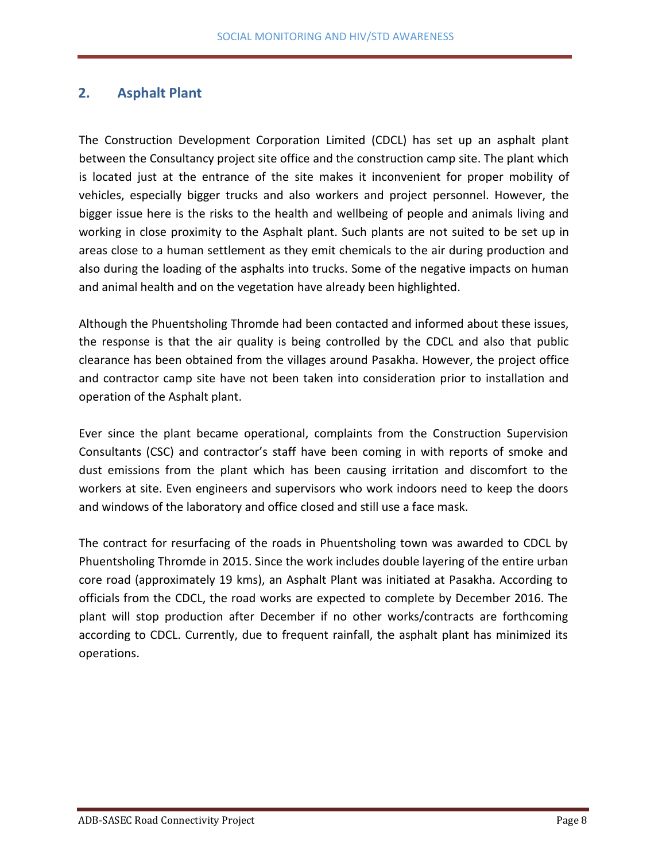## <span id="page-7-0"></span>**2. Asphalt Plant**

The Construction Development Corporation Limited (CDCL) has set up an asphalt plant between the Consultancy project site office and the construction camp site. The plant which is located just at the entrance of the site makes it inconvenient for proper mobility of vehicles, especially bigger trucks and also workers and project personnel. However, the bigger issue here is the risks to the health and wellbeing of people and animals living and working in close proximity to the Asphalt plant. Such plants are not suited to be set up in areas close to a human settlement as they emit chemicals to the air during production and also during the loading of the asphalts into trucks. Some of the negative impacts on human and animal health and on the vegetation have already been highlighted.

Although the Phuentsholing Thromde had been contacted and informed about these issues, the response is that the air quality is being controlled by the CDCL and also that public clearance has been obtained from the villages around Pasakha. However, the project office and contractor camp site have not been taken into consideration prior to installation and operation of the Asphalt plant.

Ever since the plant became operational, complaints from the Construction Supervision Consultants (CSC) and contractor's staff have been coming in with reports of smoke and dust emissions from the plant which has been causing irritation and discomfort to the workers at site. Even engineers and supervisors who work indoors need to keep the doors and windows of the laboratory and office closed and still use a face mask.

The contract for resurfacing of the roads in Phuentsholing town was awarded to CDCL by Phuentsholing Thromde in 2015. Since the work includes double layering of the entire urban core road (approximately 19 kms), an Asphalt Plant was initiated at Pasakha. According to officials from the CDCL, the road works are expected to complete by December 2016. The plant will stop production after December if no other works/contracts are forthcoming according to CDCL. Currently, due to frequent rainfall, the asphalt plant has minimized its operations.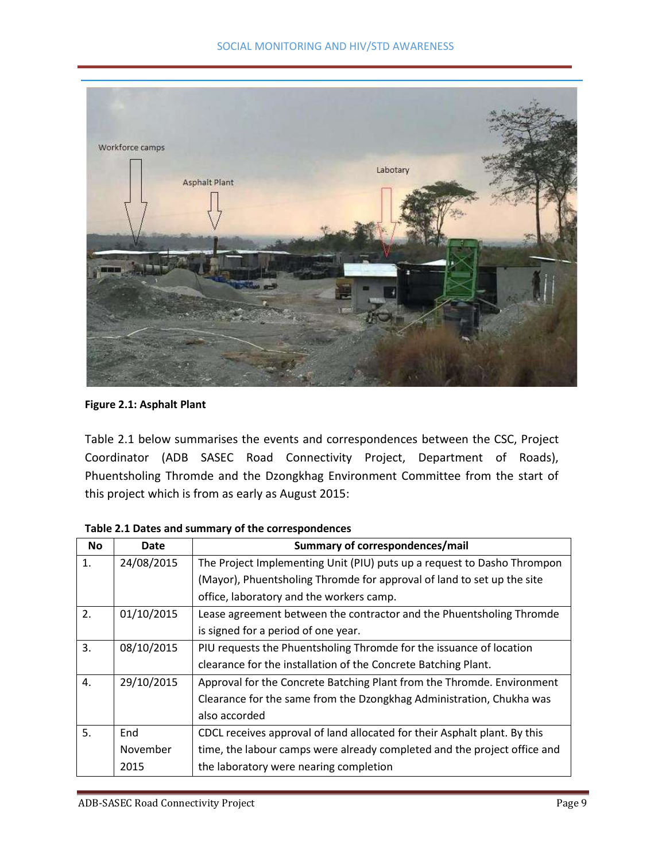

**Figure 2.1: Asphalt Plant**

Table 2.1 below summarises the events and correspondences between the CSC, Project Coordinator (ADB SASEC Road Connectivity Project, Department of Roads), Phuentsholing Thromde and the Dzongkhag Environment Committee from the start of this project which is from as early as August 2015:

| <b>No</b> | Date       | Summary of correspondences/mail                                           |
|-----------|------------|---------------------------------------------------------------------------|
| 1.        | 24/08/2015 | The Project Implementing Unit (PIU) puts up a request to Dasho Thrompon   |
|           |            | (Mayor), Phuentsholing Thromde for approval of land to set up the site    |
|           |            | office, laboratory and the workers camp.                                  |
| 2.        | 01/10/2015 | Lease agreement between the contractor and the Phuentsholing Thromde      |
|           |            | is signed for a period of one year.                                       |
| 3.        | 08/10/2015 | PIU requests the Phuentsholing Thromde for the issuance of location       |
|           |            | clearance for the installation of the Concrete Batching Plant.            |
| 4.        | 29/10/2015 | Approval for the Concrete Batching Plant from the Thromde. Environment    |
|           |            | Clearance for the same from the Dzongkhag Administration, Chukha was      |
|           |            | also accorded                                                             |
| 5.        | End        | CDCL receives approval of land allocated for their Asphalt plant. By this |
|           | November   | time, the labour camps were already completed and the project office and  |
|           | 2015       | the laboratory were nearing completion                                    |

**Table 2.1 Dates and summary of the correspondences**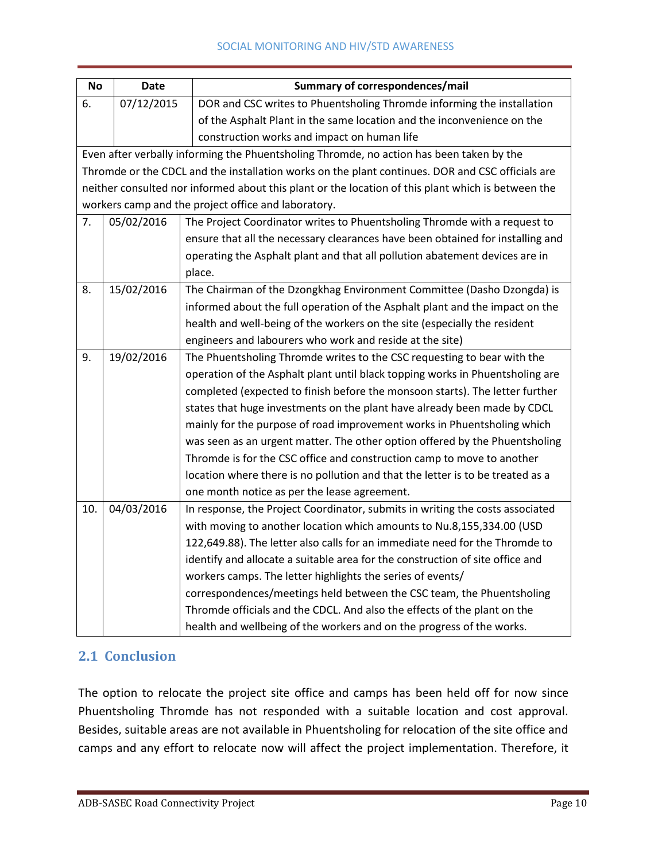#### SOCIAL MONITORING AND HIV/STD AWARENESS

| <b>No</b>                                                                      | <b>Date</b>                                                                             | <b>Summary of correspondences/mail</b>                                                             |  |  |  |  |  |  |
|--------------------------------------------------------------------------------|-----------------------------------------------------------------------------------------|----------------------------------------------------------------------------------------------------|--|--|--|--|--|--|
| 6.                                                                             | 07/12/2015                                                                              | DOR and CSC writes to Phuentsholing Thromde informing the installation                             |  |  |  |  |  |  |
|                                                                                |                                                                                         | of the Asphalt Plant in the same location and the inconvenience on the                             |  |  |  |  |  |  |
|                                                                                |                                                                                         | construction works and impact on human life                                                        |  |  |  |  |  |  |
|                                                                                |                                                                                         | Even after verbally informing the Phuentsholing Thromde, no action has been taken by the           |  |  |  |  |  |  |
|                                                                                |                                                                                         | Thromde or the CDCL and the installation works on the plant continues. DOR and CSC officials are   |  |  |  |  |  |  |
|                                                                                |                                                                                         | neither consulted nor informed about this plant or the location of this plant which is between the |  |  |  |  |  |  |
|                                                                                | workers camp and the project office and laboratory.                                     |                                                                                                    |  |  |  |  |  |  |
| 7.                                                                             | 05/02/2016<br>The Project Coordinator writes to Phuentsholing Thromde with a request to |                                                                                                    |  |  |  |  |  |  |
| ensure that all the necessary clearances have been obtained for installing and |                                                                                         |                                                                                                    |  |  |  |  |  |  |
| operating the Asphalt plant and that all pollution abatement devices are in    |                                                                                         |                                                                                                    |  |  |  |  |  |  |
|                                                                                |                                                                                         | place.                                                                                             |  |  |  |  |  |  |
| 8.                                                                             | 15/02/2016                                                                              | The Chairman of the Dzongkhag Environment Committee (Dasho Dzongda) is                             |  |  |  |  |  |  |
|                                                                                |                                                                                         | informed about the full operation of the Asphalt plant and the impact on the                       |  |  |  |  |  |  |
|                                                                                | health and well-being of the workers on the site (especially the resident               |                                                                                                    |  |  |  |  |  |  |
| engineers and labourers who work and reside at the site)                       |                                                                                         |                                                                                                    |  |  |  |  |  |  |
| 9.                                                                             | 19/02/2016                                                                              | The Phuentsholing Thromde writes to the CSC requesting to bear with the                            |  |  |  |  |  |  |
|                                                                                |                                                                                         | operation of the Asphalt plant until black topping works in Phuentsholing are                      |  |  |  |  |  |  |
|                                                                                |                                                                                         | completed (expected to finish before the monsoon starts). The letter further                       |  |  |  |  |  |  |
|                                                                                |                                                                                         | states that huge investments on the plant have already been made by CDCL                           |  |  |  |  |  |  |
|                                                                                |                                                                                         | mainly for the purpose of road improvement works in Phuentsholing which                            |  |  |  |  |  |  |
|                                                                                |                                                                                         | was seen as an urgent matter. The other option offered by the Phuentsholing                        |  |  |  |  |  |  |
|                                                                                |                                                                                         | Thromde is for the CSC office and construction camp to move to another                             |  |  |  |  |  |  |
|                                                                                |                                                                                         | location where there is no pollution and that the letter is to be treated as a                     |  |  |  |  |  |  |
|                                                                                |                                                                                         | one month notice as per the lease agreement.                                                       |  |  |  |  |  |  |
| 10.                                                                            | 04/03/2016                                                                              | In response, the Project Coordinator, submits in writing the costs associated                      |  |  |  |  |  |  |
|                                                                                |                                                                                         | with moving to another location which amounts to Nu.8,155,334.00 (USD                              |  |  |  |  |  |  |
|                                                                                |                                                                                         | 122,649.88). The letter also calls for an immediate need for the Thromde to                        |  |  |  |  |  |  |
|                                                                                | identify and allocate a suitable area for the construction of site office and           |                                                                                                    |  |  |  |  |  |  |
|                                                                                | workers camps. The letter highlights the series of events/                              |                                                                                                    |  |  |  |  |  |  |
|                                                                                |                                                                                         | correspondences/meetings held between the CSC team, the Phuentsholing                              |  |  |  |  |  |  |
|                                                                                |                                                                                         | Thromde officials and the CDCL. And also the effects of the plant on the                           |  |  |  |  |  |  |
|                                                                                |                                                                                         | health and wellbeing of the workers and on the progress of the works.                              |  |  |  |  |  |  |

# <span id="page-9-0"></span>**2.1 Conclusion**

The option to relocate the project site office and camps has been held off for now since Phuentsholing Thromde has not responded with a suitable location and cost approval. Besides, suitable areas are not available in Phuentsholing for relocation of the site office and camps and any effort to relocate now will affect the project implementation. Therefore, it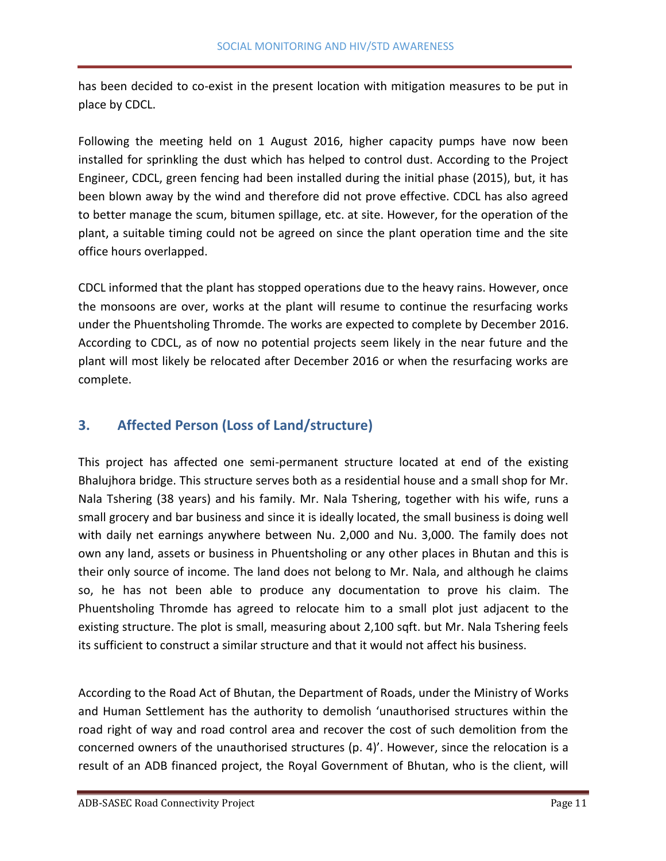has been decided to co-exist in the present location with mitigation measures to be put in place by CDCL.

Following the meeting held on 1 August 2016, higher capacity pumps have now been installed for sprinkling the dust which has helped to control dust. According to the Project Engineer, CDCL, green fencing had been installed during the initial phase (2015), but, it has been blown away by the wind and therefore did not prove effective. CDCL has also agreed to better manage the scum, bitumen spillage, etc. at site. However, for the operation of the plant, a suitable timing could not be agreed on since the plant operation time and the site office hours overlapped.

CDCL informed that the plant has stopped operations due to the heavy rains. However, once the monsoons are over, works at the plant will resume to continue the resurfacing works under the Phuentsholing Thromde. The works are expected to complete by December 2016. According to CDCL, as of now no potential projects seem likely in the near future and the plant will most likely be relocated after December 2016 or when the resurfacing works are complete.

# <span id="page-10-0"></span>**3. Affected Person (Loss of Land/structure)**

This project has affected one semi-permanent structure located at end of the existing Bhalujhora bridge. This structure serves both as a residential house and a small shop for Mr. Nala Tshering (38 years) and his family. Mr. Nala Tshering, together with his wife, runs a small grocery and bar business and since it is ideally located, the small business is doing well with daily net earnings anywhere between Nu. 2,000 and Nu. 3,000. The family does not own any land, assets or business in Phuentsholing or any other places in Bhutan and this is their only source of income. The land does not belong to Mr. Nala, and although he claims so, he has not been able to produce any documentation to prove his claim. The Phuentsholing Thromde has agreed to relocate him to a small plot just adjacent to the existing structure. The plot is small, measuring about 2,100 sqft. but Mr. Nala Tshering feels its sufficient to construct a similar structure and that it would not affect his business.

According to the Road Act of Bhutan, the Department of Roads, under the Ministry of Works and Human Settlement has the authority to demolish 'unauthorised structures within the road right of way and road control area and recover the cost of such demolition from the concerned owners of the unauthorised structures (p. 4)'. However, since the relocation is a result of an ADB financed project, the Royal Government of Bhutan, who is the client, will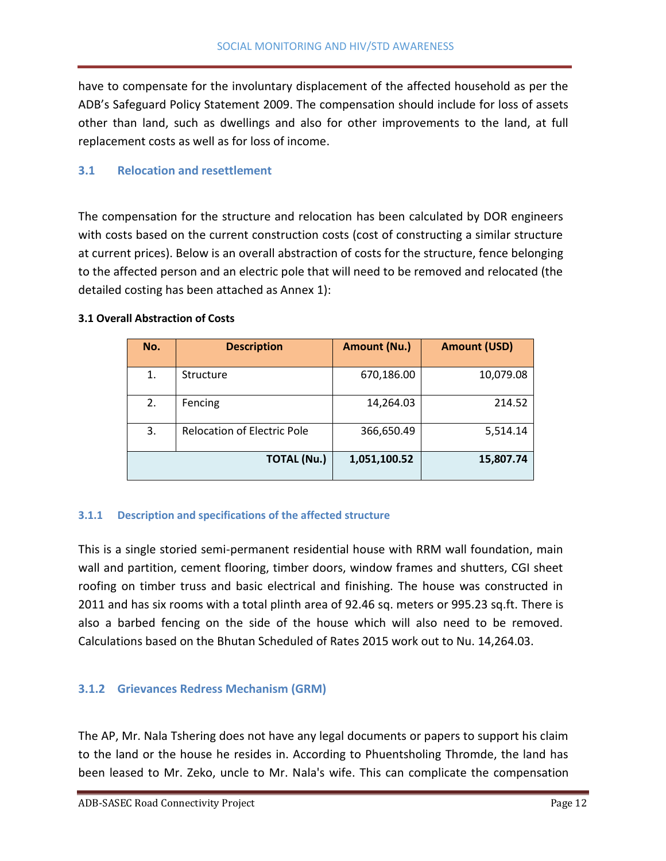have to compensate for the involuntary displacement of the affected household as per the ADB's Safeguard Policy Statement 2009. The compensation should include for loss of assets other than land, such as dwellings and also for other improvements to the land, at full replacement costs as well as for loss of income.

## <span id="page-11-0"></span>**3.1 Relocation and resettlement**

The compensation for the structure and relocation has been calculated by DOR engineers with costs based on the current construction costs (cost of constructing a similar structure at current prices). Below is an overall abstraction of costs for the structure, fence belonging to the affected person and an electric pole that will need to be removed and relocated (the detailed costing has been attached as Annex 1):

#### **3.1 Overall Abstraction of Costs**

| No. | <b>Description</b>                 | <b>Amount (Nu.)</b> | <b>Amount (USD)</b> |
|-----|------------------------------------|---------------------|---------------------|
| 1.  | Structure                          | 670,186.00          | 10,079.08           |
| 2.  | Fencing                            | 14,264.03           | 214.52              |
| 3.  | <b>Relocation of Electric Pole</b> | 366,650.49          | 5,514.14            |
|     | <b>TOTAL (Nu.)</b>                 | 1,051,100.52        | 15,807.74           |

#### <span id="page-11-1"></span>**3.1.1 Description and specifications of the affected structure**

This is a single storied semi-permanent residential house with RRM wall foundation, main wall and partition, cement flooring, timber doors, window frames and shutters, CGI sheet roofing on timber truss and basic electrical and finishing. The house was constructed in 2011 and has six rooms with a total plinth area of 92.46 sq. meters or 995.23 sq.ft. There is also a barbed fencing on the side of the house which will also need to be removed. Calculations based on the Bhutan Scheduled of Rates 2015 work out to Nu. 14,264.03.

#### <span id="page-11-2"></span>**3.1.2 Grievances Redress Mechanism (GRM)**

The AP, Mr. Nala Tshering does not have any legal documents or papers to support his claim to the land or the house he resides in. According to Phuentsholing Thromde, the land has been leased to Mr. Zeko, uncle to Mr. Nala's wife. This can complicate the compensation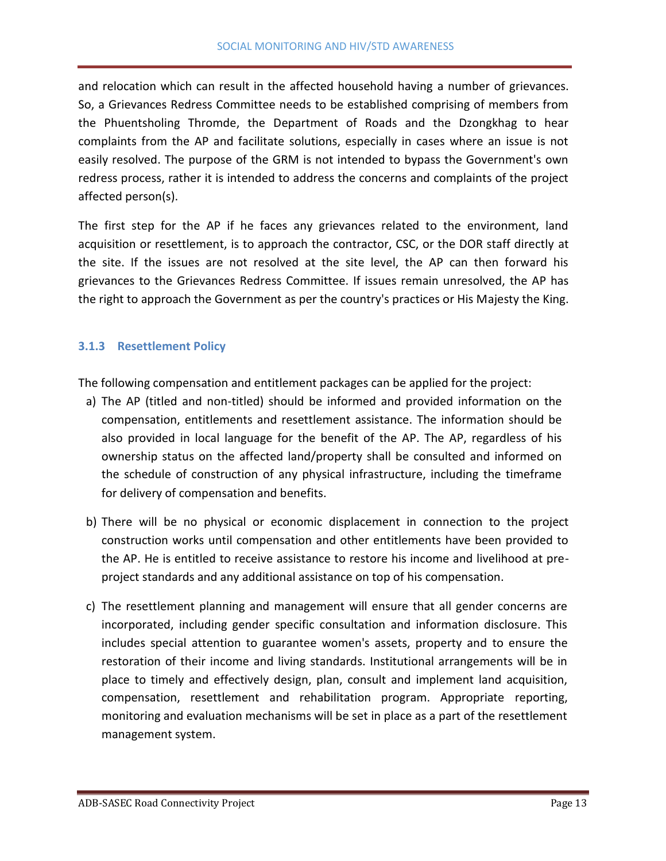and relocation which can result in the affected household having a number of grievances. So, a Grievances Redress Committee needs to be established comprising of members from the Phuentsholing Thromde, the Department of Roads and the Dzongkhag to hear complaints from the AP and facilitate solutions, especially in cases where an issue is not easily resolved. The purpose of the GRM is not intended to bypass the Government's own redress process, rather it is intended to address the concerns and complaints of the project affected person(s).

The first step for the AP if he faces any grievances related to the environment, land acquisition or resettlement, is to approach the contractor, CSC, or the DOR staff directly at the site. If the issues are not resolved at the site level, the AP can then forward his grievances to the Grievances Redress Committee. If issues remain unresolved, the AP has the right to approach the Government as per the country's practices or His Majesty the King.

## <span id="page-12-0"></span>**3.1.3 Resettlement Policy**

The following compensation and entitlement packages can be applied for the project:

- a) The AP (titled and non-titled) should be informed and provided information on the compensation, entitlements and resettlement assistance. The information should be also provided in local language for the benefit of the AP. The AP, regardless of his ownership status on the affected land/property shall be consulted and informed on the schedule of construction of any physical infrastructure, including the timeframe for delivery of compensation and benefits.
- b) There will be no physical or economic displacement in connection to the project construction works until compensation and other entitlements have been provided to the AP. He is entitled to receive assistance to restore his income and livelihood at preproject standards and any additional assistance on top of his compensation.
- c) The resettlement planning and management will ensure that all gender concerns are incorporated, including gender specific consultation and information disclosure. This includes special attention to guarantee women's assets, property and to ensure the restoration of their income and living standards. Institutional arrangements will be in place to timely and effectively design, plan, consult and implement land acquisition, compensation, resettlement and rehabilitation program. Appropriate reporting, monitoring and evaluation mechanisms will be set in place as a part of the resettlement management system.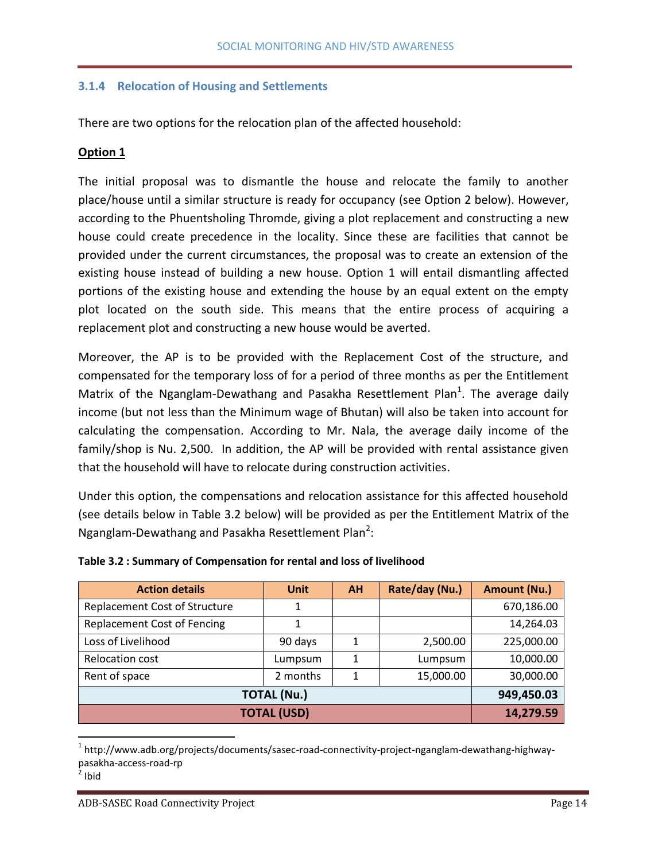## <span id="page-13-0"></span>**3.1.4 Relocation of Housing and Settlements**

There are two options for the relocation plan of the affected household:

## **Option 1**

The initial proposal was to dismantle the house and relocate the family to another place/house until a similar structure is ready for occupancy (see Option 2 below). However, according to the Phuentsholing Thromde, giving a plot replacement and constructing a new house could create precedence in the locality. Since these are facilities that cannot be provided under the current circumstances, the proposal was to create an extension of the existing house instead of building a new house. Option 1 will entail dismantling affected portions of the existing house and extending the house by an equal extent on the empty plot located on the south side. This means that the entire process of acquiring a replacement plot and constructing a new house would be averted.

Moreover, the AP is to be provided with the Replacement Cost of the structure, and compensated for the temporary loss of for a period of three months as per the Entitlement Matrix of the Nganglam-Dewathang and Pasakha Resettlement Plan<sup>1</sup>. The average daily income (but not less than the Minimum wage of Bhutan) will also be taken into account for calculating the compensation. According to Mr. Nala, the average daily income of the family/shop is Nu. 2,500. In addition, the AP will be provided with rental assistance given that the household will have to relocate during construction activities.

Under this option, the compensations and relocation assistance for this affected household (see details below in Table 3.2 below) will be provided as per the Entitlement Matrix of the Nganglam-Dewathang and Pasakha Resettlement Plan<sup>2</sup>:

| <b>Action details</b>                | <b>Unit</b> | <b>AH</b> | Rate/day (Nu.) | <b>Amount (Nu.)</b> |
|--------------------------------------|-------------|-----------|----------------|---------------------|
| <b>Replacement Cost of Structure</b> |             |           |                | 670,186.00          |
| <b>Replacement Cost of Fencing</b>   |             |           |                | 14,264.03           |
| Loss of Livelihood                   | 90 days     | 1         | 2,500.00       | 225,000.00          |
| <b>Relocation cost</b>               | Lumpsum     |           | Lumpsum        | 10,000.00           |
| Rent of space                        | 2 months    | 1         | 15,000.00      | 30,000.00           |
| <b>TOTAL (Nu.)</b>                   | 949,450.03  |           |                |                     |
| <b>TOTAL (USD)</b>                   | 14,279.59   |           |                |                     |

#### **Table 3.2 : Summary of Compensation for rental and loss of livelihood**

 $\overline{\phantom{a}}$ 

<sup>&</sup>lt;sup>1</sup> http://www.adb.org/projects/documents/sasec-road-connectivity-project-nganglam-dewathang-highwaypasakha-access-road-rp

 $2$  Ibid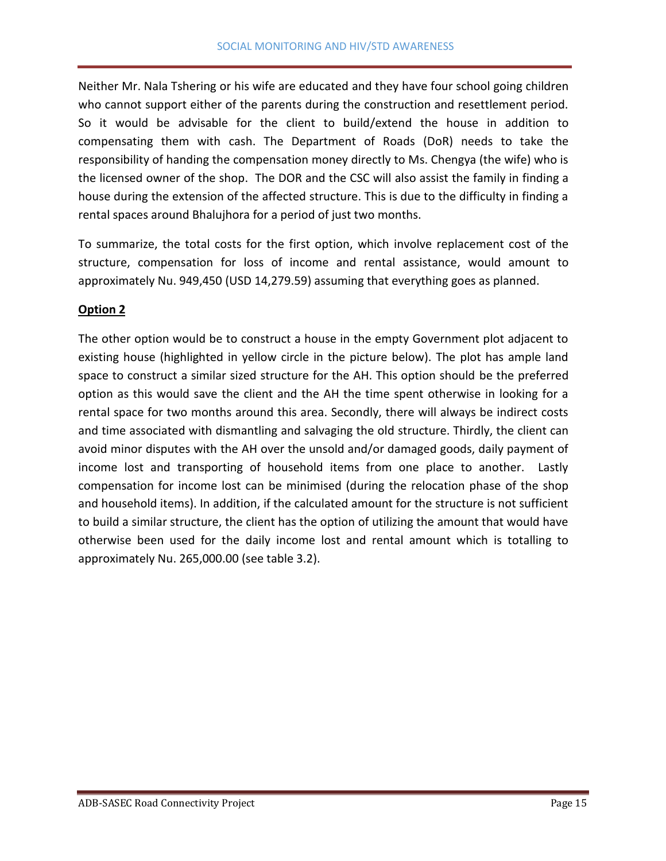Neither Mr. Nala Tshering or his wife are educated and they have four school going children who cannot support either of the parents during the construction and resettlement period. So it would be advisable for the client to build/extend the house in addition to compensating them with cash. The Department of Roads (DoR) needs to take the responsibility of handing the compensation money directly to Ms. Chengya (the wife) who is the licensed owner of the shop. The DOR and the CSC will also assist the family in finding a house during the extension of the affected structure. This is due to the difficulty in finding a rental spaces around Bhalujhora for a period of just two months.

To summarize, the total costs for the first option, which involve replacement cost of the structure, compensation for loss of income and rental assistance, would amount to approximately Nu. 949,450 (USD 14,279.59) assuming that everything goes as planned.

## **Option 2**

The other option would be to construct a house in the empty Government plot adjacent to existing house (highlighted in yellow circle in the picture below). The plot has ample land space to construct a similar sized structure for the AH. This option should be the preferred option as this would save the client and the AH the time spent otherwise in looking for a rental space for two months around this area. Secondly, there will always be indirect costs and time associated with dismantling and salvaging the old structure. Thirdly, the client can avoid minor disputes with the AH over the unsold and/or damaged goods, daily payment of income lost and transporting of household items from one place to another. Lastly compensation for income lost can be minimised (during the relocation phase of the shop and household items). In addition, if the calculated amount for the structure is not sufficient to build a similar structure, the client has the option of utilizing the amount that would have otherwise been used for the daily income lost and rental amount which is totalling to approximately Nu. 265,000.00 (see table 3.2).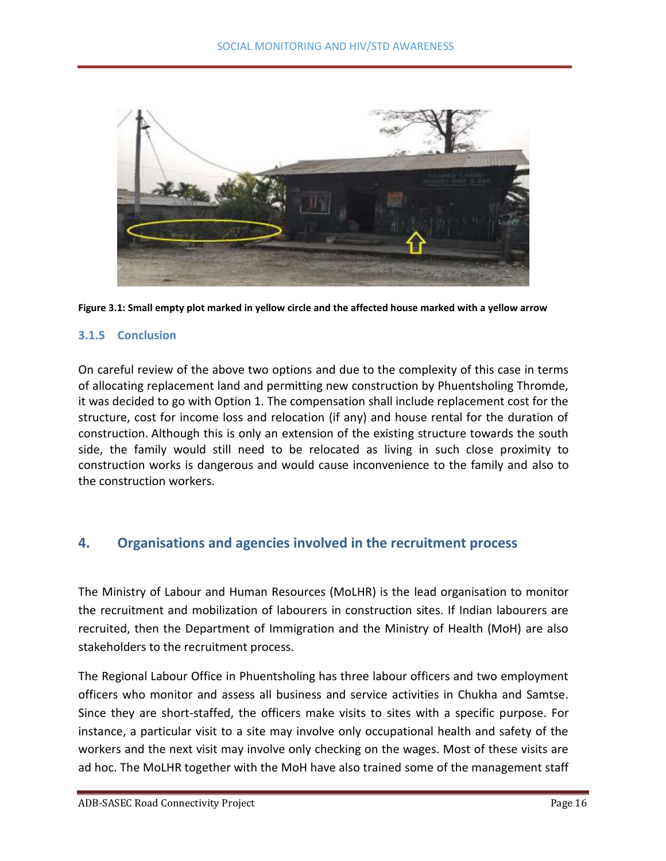



#### <span id="page-15-0"></span>**3.1.5 Conclusion**

On careful review of the above two options and due to the complexity of this case in terms of allocating replacement land and permitting new construction by Phuentsholing Thromde, it was decided to go with Option 1. The compensation shall include replacement cost for the structure, cost for income loss and relocation (if any) and house rental for the duration of construction. Although this is only an extension of the existing structure towards the south side, the family would still need to be relocated as living in such close proximity to construction works is dangerous and would cause inconvenience to the family and also to the construction workers.

# <span id="page-15-1"></span>**4. Organisations and agencies involved in the recruitment process**

The Ministry of Labour and Human Resources (MoLHR) is the lead organisation to monitor the recruitment and mobilization of labourers in construction sites. If Indian labourers are recruited, then the Department of Immigration and the Ministry of Health (MoH) are also stakeholders to the recruitment process.

The Regional Labour Office in Phuentsholing has three labour officers and two employment officers who monitor and assess all business and service activities in Chukha and Samtse. Since they are short-staffed, the officers make visits to sites with a specific purpose. For instance, a particular visit to a site may involve only occupational health and safety of the workers and the next visit may involve only checking on the wages. Most of these visits are ad hoc. The MoLHR together with the MoH have also trained some of the management staff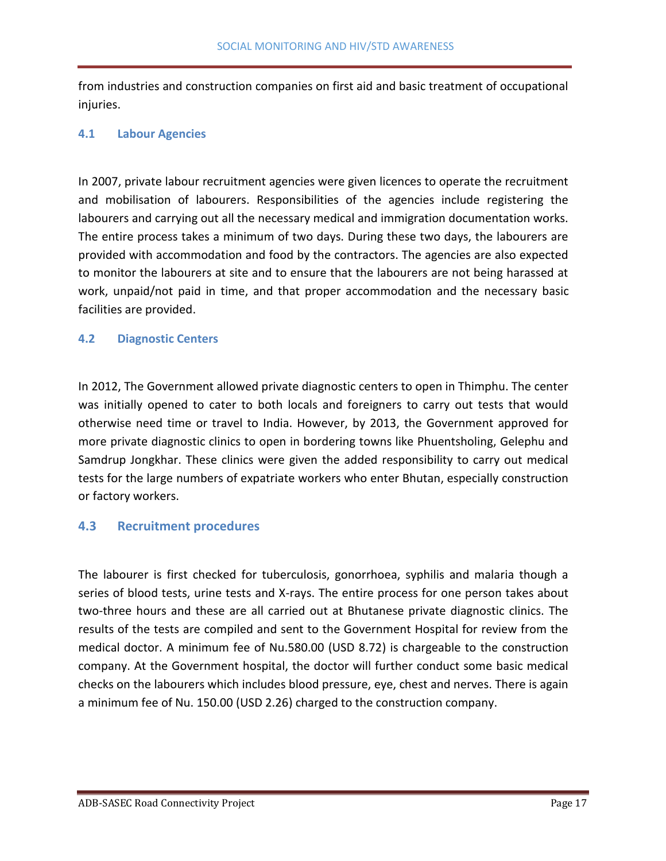from industries and construction companies on first aid and basic treatment of occupational injuries.

## <span id="page-16-0"></span>**4.1 Labour Agencies**

In 2007, private labour recruitment agencies were given licences to operate the recruitment and mobilisation of labourers. Responsibilities of the agencies include registering the labourers and carrying out all the necessary medical and immigration documentation works. The entire process takes a minimum of two days. During these two days, the labourers are provided with accommodation and food by the contractors. The agencies are also expected to monitor the labourers at site and to ensure that the labourers are not being harassed at work, unpaid/not paid in time, and that proper accommodation and the necessary basic facilities are provided.

#### <span id="page-16-1"></span>**4.2 Diagnostic Centers**

In 2012, The Government allowed private diagnostic centers to open in Thimphu. The center was initially opened to cater to both locals and foreigners to carry out tests that would otherwise need time or travel to India. However, by 2013, the Government approved for more private diagnostic clinics to open in bordering towns like Phuentsholing, Gelephu and Samdrup Jongkhar. These clinics were given the added responsibility to carry out medical tests for the large numbers of expatriate workers who enter Bhutan, especially construction or factory workers.

#### <span id="page-16-2"></span>**4.3 Recruitment procedures**

The labourer is first checked for tuberculosis, gonorrhoea, syphilis and malaria though a series of blood tests, urine tests and X-rays. The entire process for one person takes about two-three hours and these are all carried out at Bhutanese private diagnostic clinics. The results of the tests are compiled and sent to the Government Hospital for review from the medical doctor. A minimum fee of Nu.580.00 (USD 8.72) is chargeable to the construction company. At the Government hospital, the doctor will further conduct some basic medical checks on the labourers which includes blood pressure, eye, chest and nerves. There is again a minimum fee of Nu. 150.00 (USD 2.26) charged to the construction company.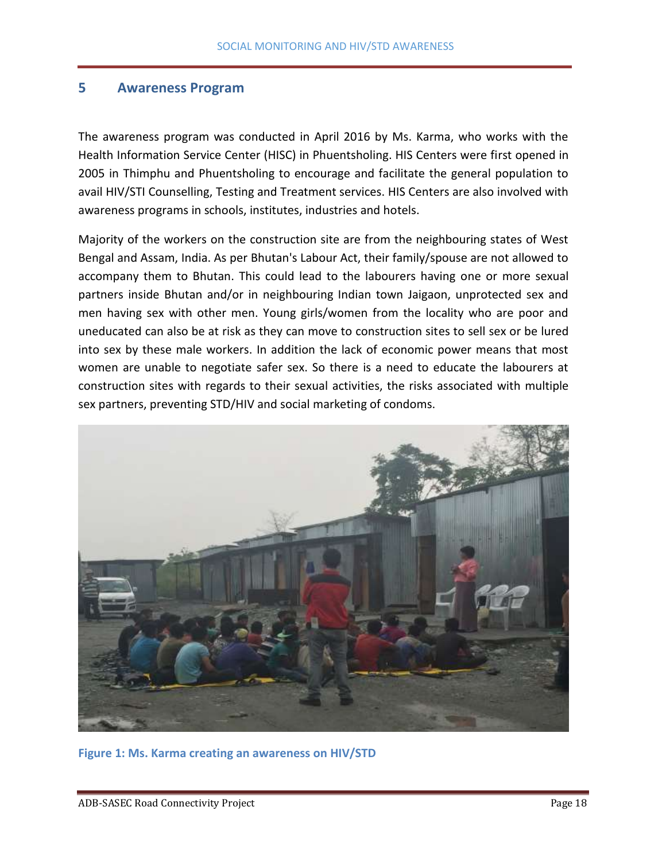#### <span id="page-17-0"></span>**5 Awareness Program**

The awareness program was conducted in April 2016 by Ms. Karma, who works with the Health Information Service Center (HISC) in Phuentsholing. HIS Centers were first opened in 2005 in Thimphu and Phuentsholing to encourage and facilitate the general population to avail HIV/STI Counselling, Testing and Treatment services. HIS Centers are also involved with awareness programs in schools, institutes, industries and hotels.

Majority of the workers on the construction site are from the neighbouring states of West Bengal and Assam, India. As per Bhutan's Labour Act, their family/spouse are not allowed to accompany them to Bhutan. This could lead to the labourers having one or more sexual partners inside Bhutan and/or in neighbouring Indian town Jaigaon, unprotected sex and men having sex with other men. Young girls/women from the locality who are poor and uneducated can also be at risk as they can move to construction sites to sell sex or be lured into sex by these male workers. In addition the lack of economic power means that most women are unable to negotiate safer sex. So there is a need to educate the labourers at construction sites with regards to their sexual activities, the risks associated with multiple sex partners, preventing STD/HIV and social marketing of condoms.



**Figure 1: Ms. Karma creating an awareness on HIV/STD**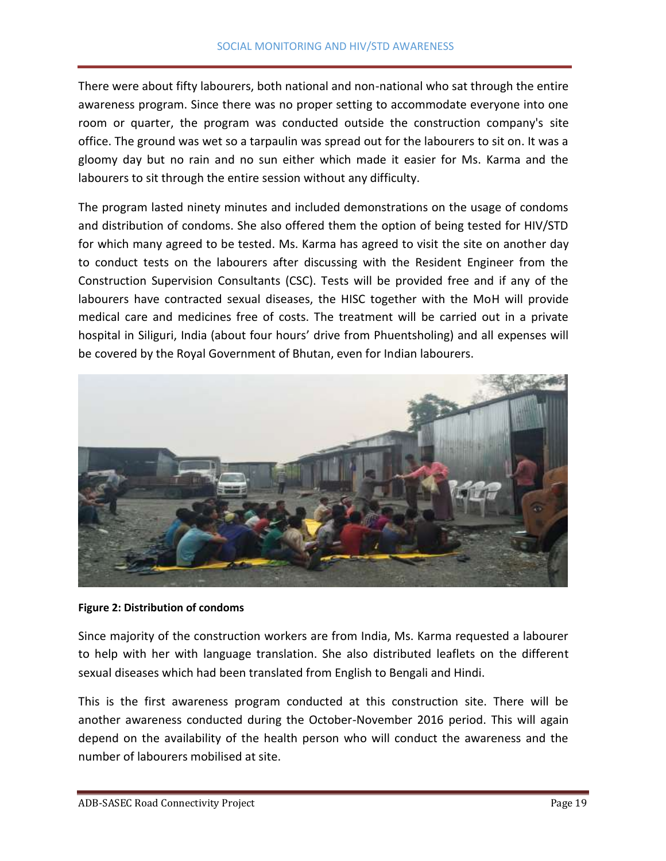There were about fifty labourers, both national and non-national who sat through the entire awareness program. Since there was no proper setting to accommodate everyone into one room or quarter, the program was conducted outside the construction company's site office. The ground was wet so a tarpaulin was spread out for the labourers to sit on. It was a gloomy day but no rain and no sun either which made it easier for Ms. Karma and the labourers to sit through the entire session without any difficulty.

The program lasted ninety minutes and included demonstrations on the usage of condoms and distribution of condoms. She also offered them the option of being tested for HIV/STD for which many agreed to be tested. Ms. Karma has agreed to visit the site on another day to conduct tests on the labourers after discussing with the Resident Engineer from the Construction Supervision Consultants (CSC). Tests will be provided free and if any of the labourers have contracted sexual diseases, the HISC together with the MoH will provide medical care and medicines free of costs. The treatment will be carried out in a private hospital in Siliguri, India (about four hours' drive from Phuentsholing) and all expenses will be covered by the Royal Government of Bhutan, even for Indian labourers.



#### **Figure 2: Distribution of condoms**

Since majority of the construction workers are from India, Ms. Karma requested a labourer to help with her with language translation. She also distributed leaflets on the different sexual diseases which had been translated from English to Bengali and Hindi.

This is the first awareness program conducted at this construction site. There will be another awareness conducted during the October-November 2016 period. This will again depend on the availability of the health person who will conduct the awareness and the number of labourers mobilised at site.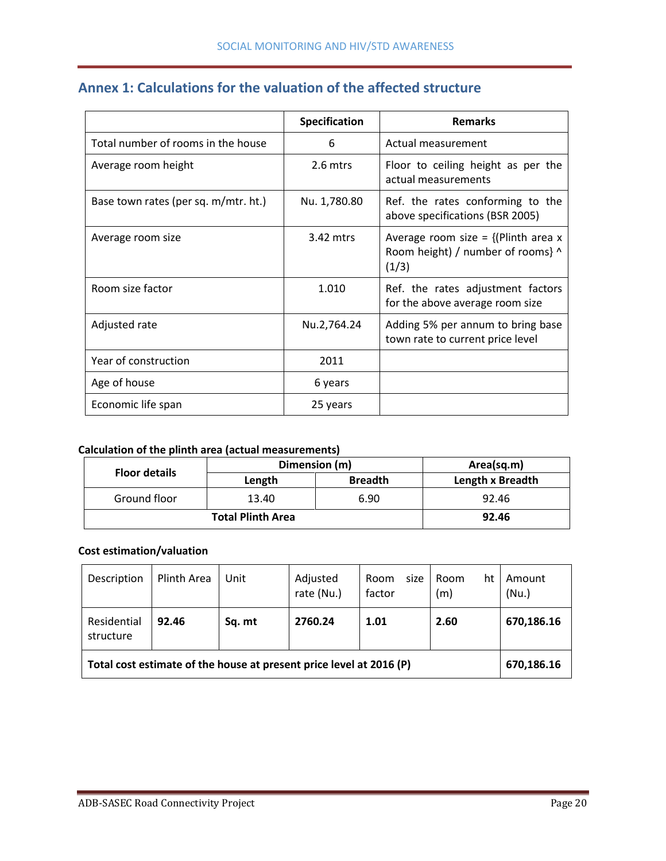<span id="page-19-0"></span>

|  | Annex 1: Calculations for the valuation of the affected structure |
|--|-------------------------------------------------------------------|
|--|-------------------------------------------------------------------|

|                                      | Specification | <b>Remarks</b>                                                                        |
|--------------------------------------|---------------|---------------------------------------------------------------------------------------|
| Total number of rooms in the house   | 6             | Actual measurement                                                                    |
| Average room height                  | 2.6 mtrs      | Floor to ceiling height as per the<br>actual measurements                             |
| Base town rates (per sq. m/mtr. ht.) | Nu. 1,780.80  | Ref. the rates conforming to the<br>above specifications (BSR 2005)                   |
| Average room size                    | 3.42 mtrs     | Average room size = $\{$ (Plinth area x<br>Room height) / number of rooms} ^<br>(1/3) |
| Room size factor                     | 1.010         | Ref. the rates adjustment factors<br>for the above average room size                  |
| Adjusted rate                        | Nu.2,764.24   | Adding 5% per annum to bring base<br>town rate to current price level                 |
| Year of construction                 | 2011          |                                                                                       |
| Age of house                         | 6 years       |                                                                                       |
| Economic life span                   | 25 years      |                                                                                       |

# **Calculation of the plinth area (actual measurements)**

| <b>Floor details</b> | Dimension (m) | Area(sq.m)     |                  |  |
|----------------------|---------------|----------------|------------------|--|
|                      | Length        | <b>Breadth</b> | Length x Breadth |  |
| Ground floor         | 13.40         | 6.90           | 92.46            |  |
|                      | 92.46         |                |                  |  |

## **Cost estimation/valuation**

| Description                                                                       | Plinth Area | Unit   | Adjusted<br>rate (Nu.) | size<br>Room<br>factor | ht<br>Room<br>(m) | Amount<br>(Nu.) |  |
|-----------------------------------------------------------------------------------|-------------|--------|------------------------|------------------------|-------------------|-----------------|--|
| Residential<br>structure                                                          | 92.46       | Sq. mt | 2760.24                | 1.01                   | 2.60              | 670,186.16      |  |
| Total cost estimate of the house at present price level at 2016 (P)<br>670,186.16 |             |        |                        |                        |                   |                 |  |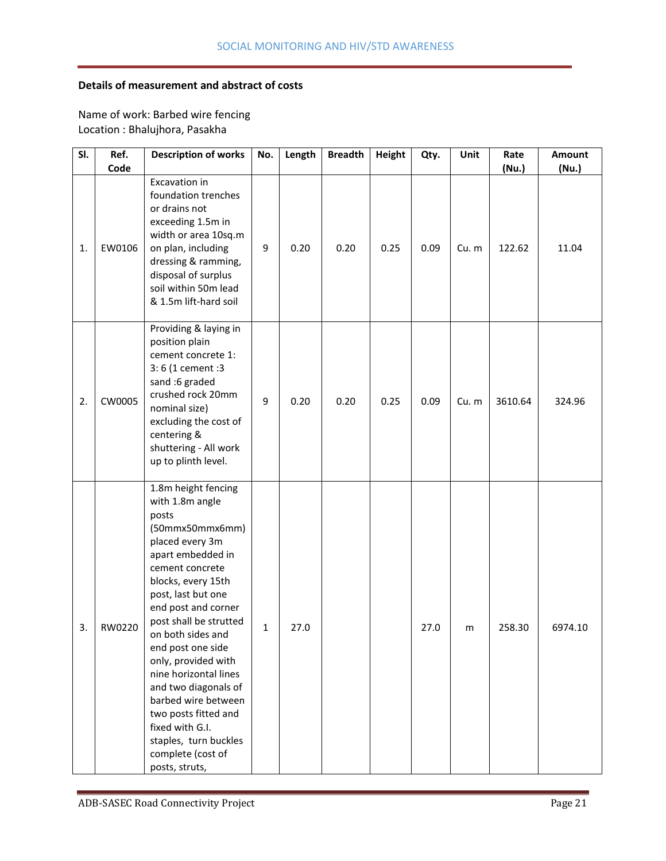## **Details of measurement and abstract of costs**

Name of work: Barbed wire fencing Location : Bhalujhora, Pasakha

| SI. | Ref.<br>Code | <b>Description of works</b>                                                                                                                                                                                                                                                                                                                                                                                                                                                    | No. | Length | <b>Breadth</b> | <b>Height</b> | Qty. | Unit  | Rate            | Amount         |
|-----|--------------|--------------------------------------------------------------------------------------------------------------------------------------------------------------------------------------------------------------------------------------------------------------------------------------------------------------------------------------------------------------------------------------------------------------------------------------------------------------------------------|-----|--------|----------------|---------------|------|-------|-----------------|----------------|
| 1.  | EW0106       | Excavation in<br>foundation trenches<br>or drains not<br>exceeding 1.5m in<br>width or area 10sq.m<br>on plan, including<br>dressing & ramming,<br>disposal of surplus<br>soil within 50m lead<br>& 1.5m lift-hard soil                                                                                                                                                                                                                                                        | 9   | 0.20   | 0.20           | 0.25          | 0.09 | Cu. m | (Nu.)<br>122.62 | (Nu.)<br>11.04 |
| 2.  | CW0005       | Providing & laying in<br>position plain<br>cement concrete 1:<br>3: 6 (1 cement : 3<br>sand :6 graded<br>crushed rock 20mm<br>nominal size)<br>excluding the cost of<br>centering &<br>shuttering - All work<br>up to plinth level.                                                                                                                                                                                                                                            | 9   | 0.20   | 0.20           | 0.25          | 0.09 | Cu. m | 3610.64         | 324.96         |
| 3.  | RW0220       | 1.8m height fencing<br>with 1.8m angle<br>posts<br>(50mmx50mmx6mm)<br>placed every 3m<br>apart embedded in<br>cement concrete<br>blocks, every 15th<br>post, last but one<br>end post and corner<br>post shall be strutted<br>on both sides and<br>end post one side<br>only, provided with<br>nine horizontal lines<br>and two diagonals of<br>barbed wire between<br>two posts fitted and<br>fixed with G.I.<br>staples, turn buckles<br>complete (cost of<br>posts, struts, | 1   | 27.0   |                |               | 27.0 | m     | 258.30          | 6974.10        |